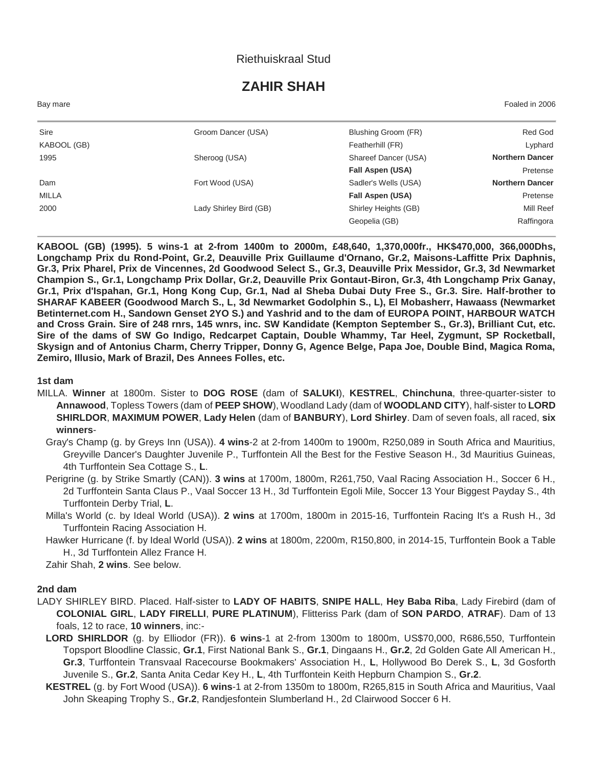## Riethuiskraal Stud

# **ZAHIR SHAH**

Bay mare Foaled in 2006

| Sire         | Groom Dancer (USA)     | Blushing Groom (FR)  | Red God                |
|--------------|------------------------|----------------------|------------------------|
| KABOOL (GB)  |                        | Featherhill (FR)     | Lyphard                |
| 1995         | Sheroog (USA)          | Shareef Dancer (USA) | <b>Northern Dancer</b> |
|              |                        | Fall Aspen (USA)     | Pretense               |
| Dam          | Fort Wood (USA)        | Sadler's Wells (USA) | <b>Northern Dancer</b> |
| <b>MILLA</b> |                        | Fall Aspen (USA)     | Pretense               |
| 2000         | Lady Shirley Bird (GB) | Shirley Heights (GB) | Mill Reef              |
|              |                        | Geopelia (GB)        | Raffingora             |
|              |                        |                      |                        |

**KABOOL (GB) (1995). 5 wins-1 at 2-from 1400m to 2000m, £48,640, 1,370,000fr., HK\$470,000, 366,000Dhs, Longchamp Prix du Rond-Point, Gr.2, Deauville Prix Guillaume d'Ornano, Gr.2, Maisons-Laffitte Prix Daphnis, Gr.3, Prix Pharel, Prix de Vincennes, 2d Goodwood Select S., Gr.3, Deauville Prix Messidor, Gr.3, 3d Newmarket Champion S., Gr.1, Longchamp Prix Dollar, Gr.2, Deauville Prix Gontaut-Biron, Gr.3, 4th Longchamp Prix Ganay, Gr.1, Prix d'Ispahan, Gr.1, Hong Kong Cup, Gr.1, Nad al Sheba Dubai Duty Free S., Gr.3. Sire. Half-brother to SHARAF KABEER (Goodwood March S., L, 3d Newmarket Godolphin S., L), El Mobasherr, Hawaass (Newmarket Betinternet.com H., Sandown Genset 2YO S.) and Yashrid and to the dam of EUROPA POINT, HARBOUR WATCH and Cross Grain. Sire of 248 rnrs, 145 wnrs, inc. SW Kandidate (Kempton September S., Gr.3), Brilliant Cut, etc. Sire of the dams of SW Go Indigo, Redcarpet Captain, Double Whammy, Tar Heel, Zygmunt, SP Rocketball, Skysign and of Antonius Charm, Cherry Tripper, Donny G, Agence Belge, Papa Joe, Double Bind, Magica Roma, Zemiro, Illusio, Mark of Brazil, Des Annees Folles, etc.**

#### **1st dam**

- MILLA. **Winner** at 1800m. Sister to **DOG ROSE** (dam of **SALUKI**), **KESTREL**, **Chinchuna**, three-quarter-sister to **Annawood**, Topless Towers (dam of **PEEP SHOW**), Woodland Lady (dam of **WOODLAND CITY**), half-sister to **LORD SHIRLDOR**, **MAXIMUM POWER**, **Lady Helen** (dam of **BANBURY**), **Lord Shirley**. Dam of seven foals, all raced, **six winners**-
	- Gray's Champ (g. by Greys Inn (USA)). **4 wins**-2 at 2-from 1400m to 1900m, R250,089 in South Africa and Mauritius, Greyville Dancer's Daughter Juvenile P., Turffontein All the Best for the Festive Season H., 3d Mauritius Guineas, 4th Turffontein Sea Cottage S., **L**.
	- Perigrine (g. by Strike Smartly (CAN)). **3 wins** at 1700m, 1800m, R261,750, Vaal Racing Association H., Soccer 6 H., 2d Turffontein Santa Claus P., Vaal Soccer 13 H., 3d Turffontein Egoli Mile, Soccer 13 Your Biggest Payday S., 4th Turffontein Derby Trial, **L**.
	- Milla's World (c. by Ideal World (USA)). **2 wins** at 1700m, 1800m in 2015-16, Turffontein Racing It's a Rush H., 3d Turffontein Racing Association H.
	- Hawker Hurricane (f. by Ideal World (USA)). **2 wins** at 1800m, 2200m, R150,800, in 2014-15, Turffontein Book a Table H., 3d Turffontein Allez France H.

Zahir Shah, **2 wins**. See below.

#### **2nd dam**

- LADY SHIRLEY BIRD. Placed. Half-sister to **LADY OF HABITS**, **SNIPE HALL**, **Hey Baba Riba**, Lady Firebird (dam of **COLONIAL GIRL**, **LADY FIRELLI**, **PURE PLATINUM**), Flitteriss Park (dam of **SON PARDO**, **ATRAF**). Dam of 13 foals, 12 to race, **10 winners**, inc:-
	- **LORD SHIRLDOR** (g. by Elliodor (FR)). **6 wins**-1 at 2-from 1300m to 1800m, US\$70,000, R686,550, Turffontein Topsport Bloodline Classic, **Gr.1**, First National Bank S., **Gr.1**, Dingaans H., **Gr.2**, 2d Golden Gate All American H., **Gr.3**, Turffontein Transvaal Racecourse Bookmakers' Association H., **L**, Hollywood Bo Derek S., **L**, 3d Gosforth Juvenile S., **Gr.2**, Santa Anita Cedar Key H., **L**, 4th Turffontein Keith Hepburn Champion S., **Gr.2**.
	- **KESTREL** (g. by Fort Wood (USA)). **6 wins**-1 at 2-from 1350m to 1800m, R265,815 in South Africa and Mauritius, Vaal John Skeaping Trophy S., **Gr.2**, Randjesfontein Slumberland H., 2d Clairwood Soccer 6 H.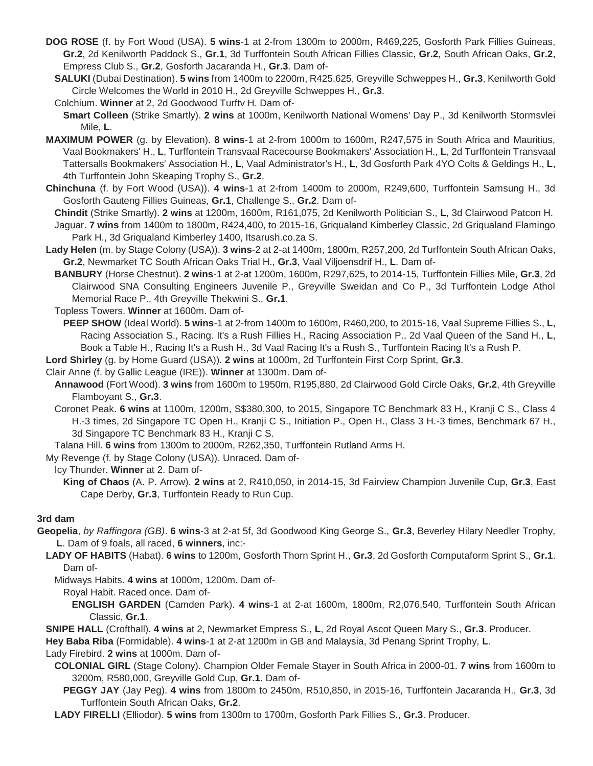- **DOG ROSE** (f. by Fort Wood (USA). **5 wins**-1 at 2-from 1300m to 2000m, R469,225, Gosforth Park Fillies Guineas, **Gr.2**, 2d Kenilworth Paddock S., **Gr.1**, 3d Turffontein South African Fillies Classic, **Gr.2**, South African Oaks, **Gr.2**, Empress Club S., **Gr.2**, Gosforth Jacaranda H., **Gr.3**. Dam of-
	- **SALUKI** (Dubai Destination). **5 wins** from 1400m to 2200m, R425,625, Greyville Schweppes H., **Gr.3**, Kenilworth Gold Circle Welcomes the World in 2010 H., 2d Greyville Schweppes H., **Gr.3**.
	- Colchium. **Winner** at 2, 2d Goodwood Turftv H. Dam of-
	- **Smart Colleen** (Strike Smartly). **2 wins** at 1000m, Kenilworth National Womens' Day P., 3d Kenilworth Stormsvlei Mile, **L**.
- **MAXIMUM POWER** (g. by Elevation). **8 wins**-1 at 2-from 1000m to 1600m, R247,575 in South Africa and Mauritius, Vaal Bookmakers' H., **L**, Turffontein Transvaal Racecourse Bookmakers' Association H., **L**, 2d Turffontein Transvaal Tattersalls Bookmakers' Association H., **L**, Vaal Administrator's H., **L**, 3d Gosforth Park 4YO Colts & Geldings H., **L**, 4th Turffontein John Skeaping Trophy S., **Gr.2**.
- **Chinchuna** (f. by Fort Wood (USA)). **4 wins**-1 at 2-from 1400m to 2000m, R249,600, Turffontein Samsung H., 3d Gosforth Gauteng Fillies Guineas, **Gr.1**, Challenge S., **Gr.2**. Dam of-
- **Chindit** (Strike Smartly). **2 wins** at 1200m, 1600m, R161,075, 2d Kenilworth Politician S., **L**, 3d Clairwood Patcon H.
- Jaguar. **7 wins** from 1400m to 1800m, R424,400, to 2015-16, Griqualand Kimberley Classic, 2d Griqualand Flamingo Park H., 3d Griqualand Kimberley 1400, Itsarush.co.za S.
- **Lady Helen** (m. by Stage Colony (USA)). **3 wins**-2 at 2-at 1400m, 1800m, R257,200, 2d Turffontein South African Oaks, **Gr.2**, Newmarket TC South African Oaks Trial H., **Gr.3**, Vaal Viljoensdrif H., **L**. Dam of-
	- **BANBURY** (Horse Chestnut). **2 wins**-1 at 2-at 1200m, 1600m, R297,625, to 2014-15, Turffontein Fillies Mile, **Gr.3**, 2d Clairwood SNA Consulting Engineers Juvenile P., Greyville Sweidan and Co P., 3d Turffontein Lodge Athol Memorial Race P., 4th Greyville Thekwini S., **Gr.1**.
	- Topless Towers. **Winner** at 1600m. Dam of-
	- **PEEP SHOW** (Ideal World). **5 wins**-1 at 2-from 1400m to 1600m, R460,200, to 2015-16, Vaal Supreme Fillies S., **L**, Racing Association S., Racing. It's a Rush Fillies H., Racing Association P., 2d Vaal Queen of the Sand H., **L**, Book a Table H., Racing It's a Rush H., 3d Vaal Racing It's a Rush S., Turffontein Racing It's a Rush P.
- **Lord Shirley** (g. by Home Guard (USA)). **2 wins** at 1000m, 2d Turffontein First Corp Sprint, **Gr.3**.
- Clair Anne (f. by Gallic League (IRE)). **Winner** at 1300m. Dam of-
- **Annawood** (Fort Wood). **3 wins** from 1600m to 1950m, R195,880, 2d Clairwood Gold Circle Oaks, **Gr.2**, 4th Greyville Flamboyant S., **Gr.3**.
- Coronet Peak. **6 wins** at 1100m, 1200m, S\$380,300, to 2015, Singapore TC Benchmark 83 H., Kranji C S., Class 4 H.-3 times, 2d Singapore TC Open H., Kranji C S., Initiation P., Open H., Class 3 H.-3 times, Benchmark 67 H., 3d Singapore TC Benchmark 83 H., Kranji C S.
- Talana Hill. **6 wins** from 1300m to 2000m, R262,350, Turffontein Rutland Arms H.
- My Revenge (f. by Stage Colony (USA)). Unraced. Dam of-

Icy Thunder. **Winner** at 2. Dam of-

**King of Chaos** (A. P. Arrow). **2 wins** at 2, R410,050, in 2014-15, 3d Fairview Champion Juvenile Cup, **Gr.3**, East Cape Derby, **Gr.3**, Turffontein Ready to Run Cup.

#### **3rd dam**

- **Geopelia**, *by Raffingora (GB)*. **6 wins**-3 at 2-at 5f, 3d Goodwood King George S., **Gr.3**, Beverley Hilary Needler Trophy, **L**. Dam of 9 foals, all raced, **6 winners**, inc:-
	- **LADY OF HABITS** (Habat). **6 wins** to 1200m, Gosforth Thorn Sprint H., **Gr.3**, 2d Gosforth Computaform Sprint S., **Gr.1**. Dam of-

Midways Habits. **4 wins** at 1000m, 1200m. Dam of-

- Royal Habit. Raced once. Dam of-
	- **ENGLISH GARDEN** (Camden Park). **4 wins**-1 at 2-at 1600m, 1800m, R2,076,540, Turffontein South African Classic, **Gr.1**.
- **SNIPE HALL** (Crofthall). **4 wins** at 2, Newmarket Empress S., **L**, 2d Royal Ascot Queen Mary S., **Gr.3**. Producer.

**Hey Baba Riba** (Formidable). **4 wins**-1 at 2-at 1200m in GB and Malaysia, 3d Penang Sprint Trophy, **L**.

Lady Firebird. **2 wins** at 1000m. Dam of-

- **COLONIAL GIRL** (Stage Colony). Champion Older Female Stayer in South Africa in 2000-01. **7 wins** from 1600m to 3200m, R580,000, Greyville Gold Cup, **Gr.1**. Dam of-
	- **PEGGY JAY** (Jay Peg). **4 wins** from 1800m to 2450m, R510,850, in 2015-16, Turffontein Jacaranda H., **Gr.3**, 3d Turffontein South African Oaks, **Gr.2**.

**LADY FIRELLI** (Elliodor). **5 wins** from 1300m to 1700m, Gosforth Park Fillies S., **Gr.3**. Producer.